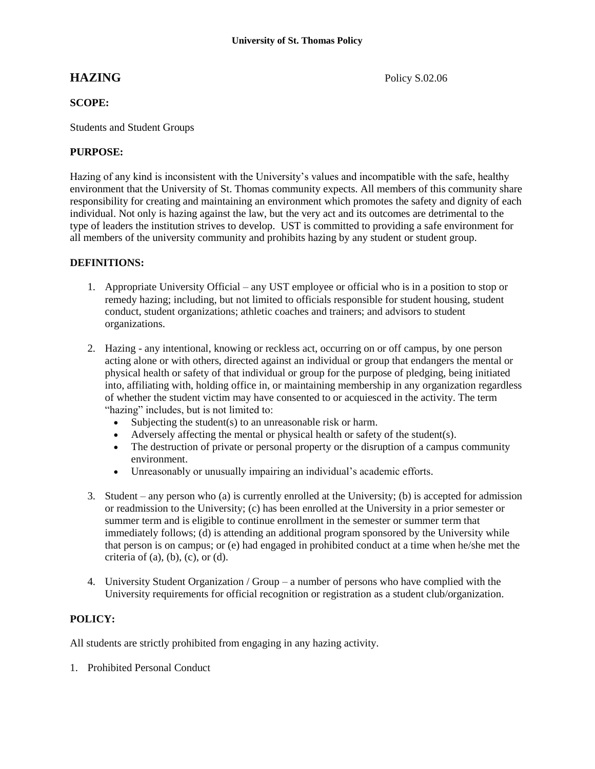## **SCOPE:**

Students and Student Groups

# **PURPOSE:**

Hazing of any kind is inconsistent with the University's values and incompatible with the safe, healthy environment that the University of St. Thomas community expects. All members of this community share responsibility for creating and maintaining an environment which promotes the safety and dignity of each individual. Not only is hazing against the law, but the very act and its outcomes are detrimental to the type of leaders the institution strives to develop. UST is committed to providing a safe environment for all members of the university community and prohibits hazing by any student or student group.

### **DEFINITIONS:**

- 1. Appropriate University Official any UST employee or official who is in a position to stop or remedy hazing; including, but not limited to officials responsible for student housing, student conduct, student organizations; athletic coaches and trainers; and advisors to student organizations.
- 2. Hazing any intentional, knowing or reckless act, occurring on or off campus, by one person acting alone or with others, directed against an individual or group that endangers the mental or physical health or safety of that individual or group for the purpose of pledging, being initiated into, affiliating with, holding office in, or maintaining membership in any organization regardless of whether the student victim may have consented to or acquiesced in the activity. The term "hazing" includes, but is not limited to:
	- Subjecting the student(s) to an unreasonable risk or harm.
	- Adversely affecting the mental or physical health or safety of the student(s).
	- The destruction of private or personal property or the disruption of a campus community environment.
	- Unreasonably or unusually impairing an individual's academic efforts.
- 3. Student any person who (a) is currently enrolled at the University; (b) is accepted for admission or readmission to the University; (c) has been enrolled at the University in a prior semester or summer term and is eligible to continue enrollment in the semester or summer term that immediately follows; (d) is attending an additional program sponsored by the University while that person is on campus; or (e) had engaged in prohibited conduct at a time when he/she met the criteria of  $(a)$ ,  $(b)$ ,  $(c)$ , or  $(d)$ .
- 4. University Student Organization / Group a number of persons who have complied with the University requirements for official recognition or registration as a student club/organization.

### **POLICY:**

All students are strictly prohibited from engaging in any hazing activity.

1. Prohibited Personal Conduct

**HAZING** Policy S.02.06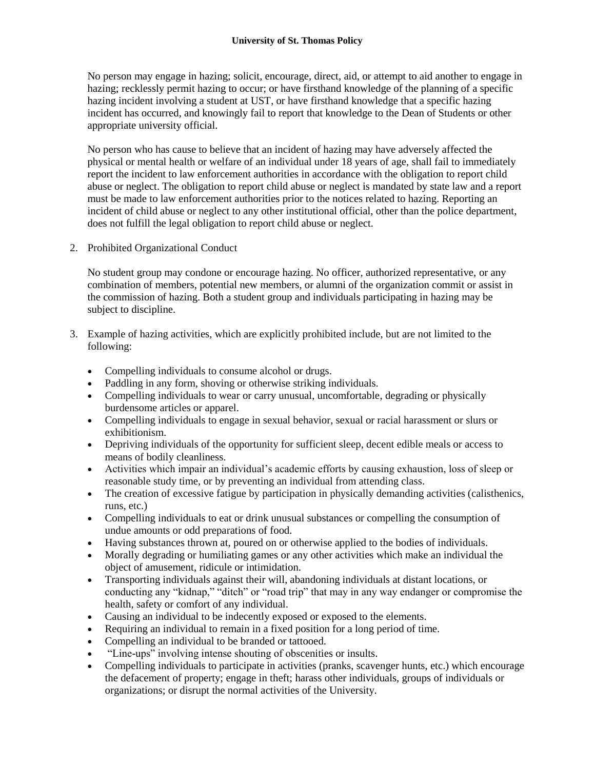No person may engage in hazing; solicit, encourage, direct, aid, or attempt to aid another to engage in hazing; recklessly permit hazing to occur; or have firsthand knowledge of the planning of a specific hazing incident involving a student at UST, or have firsthand knowledge that a specific hazing incident has occurred, and knowingly fail to report that knowledge to the Dean of Students or other appropriate university official.

No person who has cause to believe that an incident of hazing may have adversely affected the physical or mental health or welfare of an individual under 18 years of age, shall fail to immediately report the incident to law enforcement authorities in accordance with the obligation to report child abuse or neglect. The obligation to report child abuse or neglect is mandated by state law and a report must be made to law enforcement authorities prior to the notices related to hazing. Reporting an incident of child abuse or neglect to any other institutional official, other than the police department, does not fulfill the legal obligation to report child abuse or neglect.

2. Prohibited Organizational Conduct

No student group may condone or encourage hazing. No officer, authorized representative, or any combination of members, potential new members, or alumni of the organization commit or assist in the commission of hazing. Both a student group and individuals participating in hazing may be subject to discipline.

- 3. Example of hazing activities, which are explicitly prohibited include, but are not limited to the following:
	- Compelling individuals to consume alcohol or drugs.
	- Paddling in any form, shoving or otherwise striking individuals.
	- Compelling individuals to wear or carry unusual, uncomfortable, degrading or physically burdensome articles or apparel.
	- Compelling individuals to engage in sexual behavior, sexual or racial harassment or slurs or exhibitionism.
	- Depriving individuals of the opportunity for sufficient sleep, decent edible meals or access to means of bodily cleanliness.
	- Activities which impair an individual's academic efforts by causing exhaustion, loss of sleep or reasonable study time, or by preventing an individual from attending class.
	- The creation of excessive fatigue by participation in physically demanding activities (calisthenics, runs, etc.)
	- Compelling individuals to eat or drink unusual substances or compelling the consumption of undue amounts or odd preparations of food.
	- Having substances thrown at, poured on or otherwise applied to the bodies of individuals.
	- Morally degrading or humiliating games or any other activities which make an individual the object of amusement, ridicule or intimidation.
	- Transporting individuals against their will, abandoning individuals at distant locations, or conducting any "kidnap," "ditch" or "road trip" that may in any way endanger or compromise the health, safety or comfort of any individual.
	- Causing an individual to be indecently exposed or exposed to the elements.
	- Requiring an individual to remain in a fixed position for a long period of time.
	- Compelling an individual to be branded or tattooed.
	- "Line-ups" involving intense shouting of obscenities or insults.
	- Compelling individuals to participate in activities (pranks, scavenger hunts, etc.) which encourage the defacement of property; engage in theft; harass other individuals, groups of individuals or organizations; or disrupt the normal activities of the University.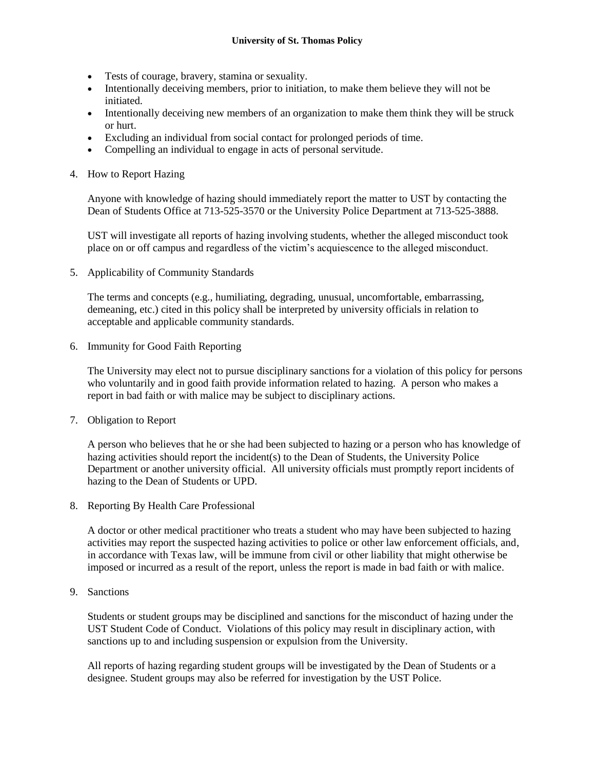- Tests of courage, bravery, stamina or sexuality.
- Intentionally deceiving members, prior to initiation, to make them believe they will not be initiated.
- Intentionally deceiving new members of an organization to make them think they will be struck or hurt.
- Excluding an individual from social contact for prolonged periods of time.
- Compelling an individual to engage in acts of personal servitude.
- 4. How to Report Hazing

Anyone with knowledge of hazing should immediately report the matter to UST by contacting the Dean of Students Office at 713-525-3570 or the University Police Department at 713-525-3888.

UST will investigate all reports of hazing involving students, whether the alleged misconduct took place on or off campus and regardless of the victim's acquiescence to the alleged misconduct.

5. Applicability of Community Standards

The terms and concepts (e.g., humiliating, degrading, unusual, uncomfortable, embarrassing, demeaning, etc.) cited in this policy shall be interpreted by university officials in relation to acceptable and applicable community standards.

6. Immunity for Good Faith Reporting

The University may elect not to pursue disciplinary sanctions for a violation of this policy for persons who voluntarily and in good faith provide information related to hazing. A person who makes a report in bad faith or with malice may be subject to disciplinary actions.

7. Obligation to Report

A person who believes that he or she had been subjected to hazing or a person who has knowledge of hazing activities should report the incident(s) to the Dean of Students, the University Police Department or another university official. All university officials must promptly report incidents of hazing to the Dean of Students or UPD.

8. Reporting By Health Care Professional

A doctor or other medical practitioner who treats a student who may have been subjected to hazing activities may report the suspected hazing activities to police or other law enforcement officials, and, in accordance with Texas law, will be immune from civil or other liability that might otherwise be imposed or incurred as a result of the report, unless the report is made in bad faith or with malice.

9. Sanctions

Students or student groups may be disciplined and sanctions for the misconduct of hazing under the UST Student Code of Conduct. Violations of this policy may result in disciplinary action, with sanctions up to and including suspension or expulsion from the University.

All reports of hazing regarding student groups will be investigated by the Dean of Students or a designee. Student groups may also be referred for investigation by the UST Police.